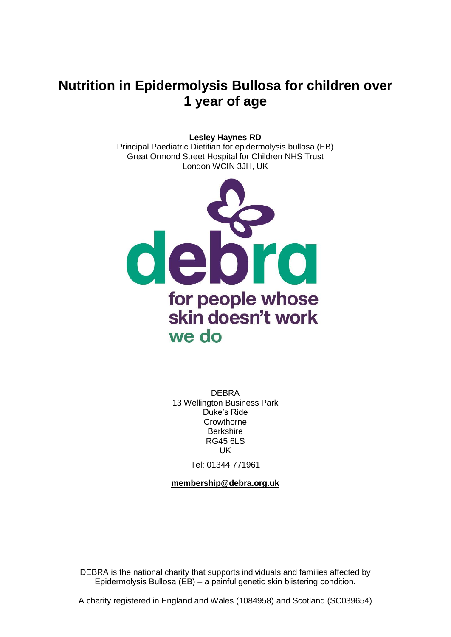# **Nutrition in Epidermolysis Bullosa for children over 1 year of age**

#### **Lesley Haynes RD**

Principal Paediatric Dietitian for epidermolysis bullosa (EB) Great Ormond Street Hospital for Children NHS Trust London WCIN 3JH, UK



DEBRA 13 Wellington Business Park Duke's Ride **Crowthorne Berkshire** RG45 6LS UK

Tel: 01344 771961

**[membership@debra.org.uk](mailto:membership@debra.org.uk)**

DEBRA is the national charity that supports individuals and families affected by Epidermolysis Bullosa (EB) – a painful genetic skin blistering condition.

A charity registered in England and Wales (1084958) and Scotland (SC039654)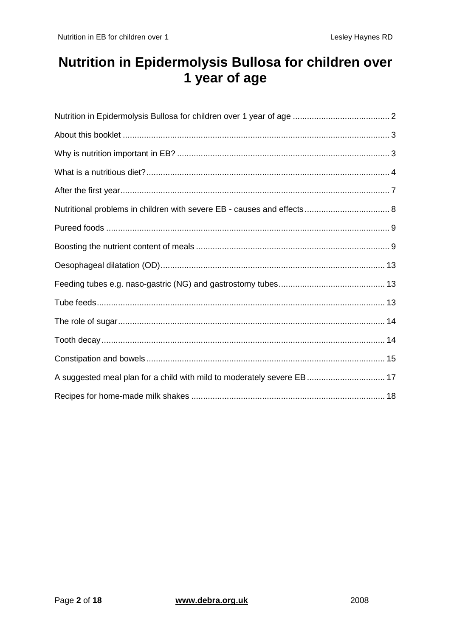# <span id="page-1-0"></span>Nutrition in Epidermolysis Bullosa for children over 1 year of age

| A suggested meal plan for a child with mild to moderately severe EB 17 |  |
|------------------------------------------------------------------------|--|
|                                                                        |  |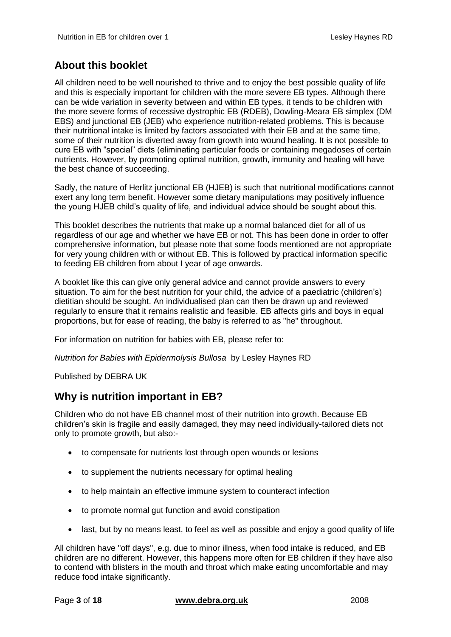# <span id="page-2-0"></span>**About this booklet**

All children need to be well nourished to thrive and to enjoy the best possible quality of life and this is especially important for children with the more severe EB types. Although there can be wide variation in severity between and within EB types, it tends to be children with the more severe forms of recessive dystrophic EB (RDEB), Dowling-Meara EB simplex (DM EBS) and junctional EB (JEB) who experience nutrition-related problems. This is because their nutritional intake is limited by factors associated with their EB and at the same time, some of their nutrition is diverted away from growth into wound healing. It is not possible to cure EB with "special" diets (eliminating particular foods or containing megadoses of certain nutrients. However, by promoting optimal nutrition, growth, immunity and healing will have the best chance of succeeding.

Sadly, the nature of Herlitz junctional EB (HJEB) is such that nutritional modifications cannot exert any long term benefit. However some dietary manipulations may positively influence the young HJEB child's quality of life, and individual advice should be sought about this.

This booklet describes the nutrients that make up a normal balanced diet for all of us regardless of our age and whether we have EB or not. This has been done in order to offer comprehensive information, but please note that some foods mentioned are not appropriate for very young children with or without EB. This is followed by practical information specific to feeding EB children from about I year of age onwards.

A booklet like this can give only general advice and cannot provide answers to every situation. To aim for the best nutrition for your child, the advice of a paediatric (children's) dietitian should be sought. An individualised plan can then be drawn up and reviewed regularly to ensure that it remains realistic and feasible. EB affects girls and boys in equal proportions, but for ease of reading, the baby is referred to as "he" throughout.

For information on nutrition for babies with EB, please refer to:

*Nutrition for Babies with Epidermolysis Bullosa* by Lesley Haynes RD

Published by DEBRA UK

## <span id="page-2-1"></span>**Why is nutrition important in EB?**

Children who do not have EB channel most of their nutrition into growth. Because EB children's skin is fragile and easily damaged, they may need individually-tailored diets not only to promote growth, but also:-

- to compensate for nutrients lost through open wounds or lesions
- to supplement the nutrients necessary for optimal healing
- to help maintain an effective immune system to counteract infection
- to promote normal gut function and avoid constipation
- last, but by no means least, to feel as well as possible and enjoy a good quality of life

All children have "off days", e.g. due to minor illness, when food intake is reduced, and EB children are no different. However, this happens more often for EB children if they have also to contend with blisters in the mouth and throat which make eating uncomfortable and may reduce food intake significantly.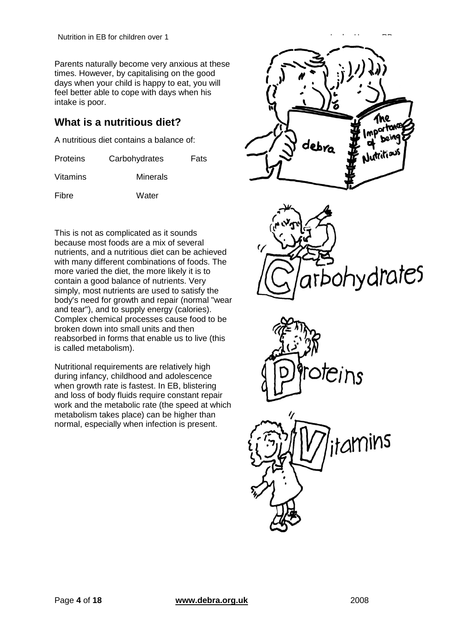Parents naturally become very anxious at these times. However, by capitalising on the good days when your child is happy to eat, you will feel better able to cope with days when his intake is poor.

# <span id="page-3-0"></span>**What is a nutritious diet?**

A nutritious diet contains a balance of:

| <b>Proteins</b> | Carbohydrates   | <b>Fats</b> |
|-----------------|-----------------|-------------|
| Vitamins        | <b>Minerals</b> |             |
| Fibre           | Water           |             |

This is not as complicated as it sounds because most foods are a mix of several nutrients, and a nutritious diet can be achieved with many different combinations of foods. The more varied the diet, the more likely it is to contain a good balance of nutrients. Very simply, most nutrients are used to satisfy the body's need for growth and repair (normal "wear and tear"), and to supply energy (calories). Complex chemical processes cause food to be broken down into small units and then reabsorbed in forms that enable us to live (this is called metabolism).

Nutritional requirements are relatively high during infancy, childhood and adolescence when growth rate is fastest. In EB, blistering and loss of body fluids require constant repair work and the metabolic rate (the speed at which metabolism takes place) can be higher than normal, especially when infection is present.







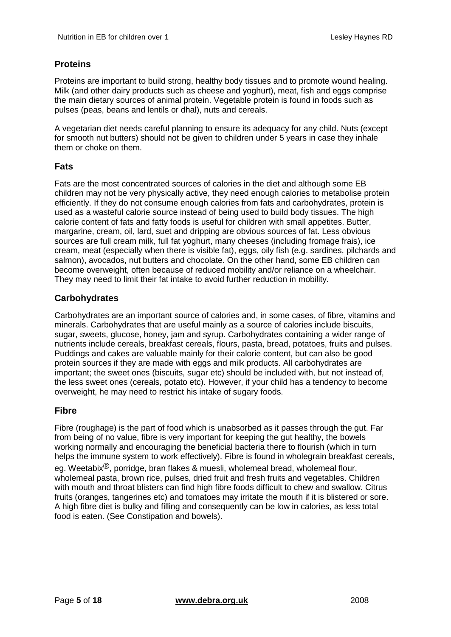### **Proteins**

Proteins are important to build strong, healthy body tissues and to promote wound healing. Milk (and other dairy products such as cheese and yoghurt), meat, fish and eggs comprise the main dietary sources of animal protein. Vegetable protein is found in foods such as pulses (peas, beans and lentils or dhal), nuts and cereals.

A vegetarian diet needs careful planning to ensure its adequacy for any child. Nuts (except for smooth nut butters) should not be given to children under 5 years in case they inhale them or choke on them.

### **Fats**

Fats are the most concentrated sources of calories in the diet and although some EB children may not be very physically active, they need enough calories to metabolise protein efficiently. If they do not consume enough calories from fats and carbohydrates, protein is used as a wasteful calorie source instead of being used to build body tissues. The high calorie content of fats and fatty foods is useful for children with small appetites. Butter, margarine, cream, oil, lard, suet and dripping are obvious sources of fat. Less obvious sources are full cream milk, full fat yoghurt, many cheeses (including fromage frais), ice cream, meat (especially when there is visible fat), eggs, oily fish (e.g. sardines, pilchards and salmon), avocados, nut butters and chocolate. On the other hand, some EB children can become overweight, often because of reduced mobility and/or reliance on a wheelchair. They may need to limit their fat intake to avoid further reduction in mobility.

### **Carbohydrates**

Carbohydrates are an important source of calories and, in some cases, of fibre, vitamins and minerals. Carbohydrates that are useful mainly as a source of calories include biscuits, sugar, sweets, glucose, honey, jam and syrup. Carbohydrates containing a wider range of nutrients include cereals, breakfast cereals, flours, pasta, bread, potatoes, fruits and pulses. Puddings and cakes are valuable mainly for their calorie content, but can also be good protein sources if they are made with eggs and milk products. All carbohydrates are important; the sweet ones (biscuits, sugar etc) should be included with, but not instead of, the less sweet ones (cereals, potato etc). However, if your child has a tendency to become overweight, he may need to restrict his intake of sugary foods.

### **Fibre**

Fibre (roughage) is the part of food which is unabsorbed as it passes through the gut. Far from being of no value, fibre is very important for keeping the gut healthy, the bowels working normally and encouraging the beneficial bacteria there to flourish (which in turn helps the immune system to work effectively). Fibre is found in wholegrain breakfast cereals,

eg. Weetabix<sup>®</sup>, porridge, bran flakes & muesli, wholemeal bread, wholemeal flour, wholemeal pasta, brown rice, pulses, dried fruit and fresh fruits and vegetables. Children with mouth and throat blisters can find high fibre foods difficult to chew and swallow. Citrus fruits (oranges, tangerines etc) and tomatoes may irritate the mouth if it is blistered or sore. A high fibre diet is bulky and filling and consequently can be low in calories, as less total food is eaten. (See Constipation and bowels).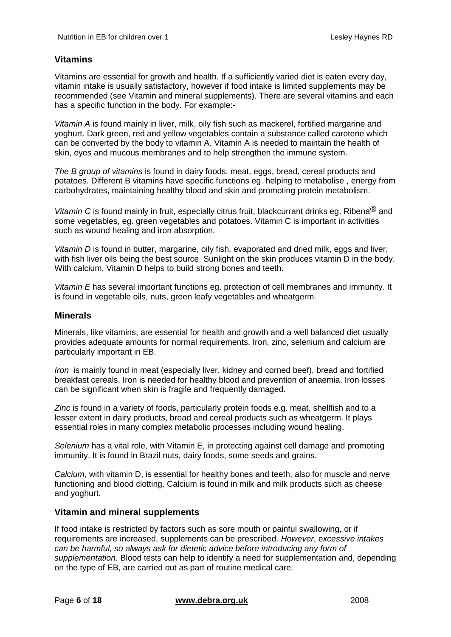### **Vitamins**

Vitamins are essential for growth and health. If a sufficiently varied diet is eaten every day, vitamin intake is usually satisfactory, however if food intake is limited supplements may be recommended (see Vitamin and mineral supplements). There are several vitamins and each has a specific function in the body. For example:-

*Vitamin A* is found mainly in liver, milk, oily fish such as mackerel, fortified margarine and yoghurt. Dark green, red and yellow vegetables contain a substance called carotene which can be converted by the body to vitamin A. Vitamin A is needed to maintain the health of skin, eyes and mucous membranes and to help strengthen the immune system.

*The B group of vitamins* is found in dairy foods, meat, eggs, bread, cereal products and potatoes. Different B vitamins have specific functions eg. helping to metabolise , energy from carbohydrates, maintaining healthy blood and skin and promoting protein metabolism.

*Vitamin C* is found mainly in fruit, especially citrus fruit, blackcurrant drinks eg. Ribena® and some vegetables, eg. green vegetables and potatoes. Vitamin C is important in activities such as wound healing and iron absorption.

*Vitamin D* is found in butter, margarine, oily fish, evaporated and dried milk, eggs and liver, with fish liver oils being the best source. Sunlight on the skin produces vitamin D in the body. With calcium, Vitamin D helps to build strong bones and teeth.

*Vitamin E* has several important functions eg. protection of cell membranes and immunity. It is found in vegetable oils, nuts, green leafy vegetables and wheatgerm.

### **Minerals**

Minerals, like vitamins, are essential for health and growth and a well balanced diet usually provides adequate amounts for normal requirements. Iron, zinc, selenium and calcium are particularly important in EB.

*Iron* is mainly found in meat (especially liver, kidney and corned beef), bread and fortified breakfast cereals. Iron is needed for healthy blood and prevention of anaemia. Iron losses can be significant when skin is fragile and frequently damaged.

*Zinc* is found in a variety of foods, particularly protein foods e.g. meat, shellfish and to a lesser extent in dairy products, bread and cereal products such as wheatgerm. It plays essential roles in many complex metabolic processes including wound healing.

*Selenium* has a vital role, with Vitamin E, in protecting against cell damage and promoting immunity. It is found in Brazil nuts, dairy foods, some seeds and grains.

*Calcium*, with vitamin D, is essential for healthy bones and teeth, also for muscle and nerve functioning and blood clotting. Calcium is found in milk and milk products such as cheese and yoghurt.

#### **Vitamin and mineral supplements**

If food intake is restricted by factors such as sore mouth or painful swallowing, or if requirements are increased, supplements can be prescribed. *However*, e*xcessive intakes can be harmful, so always ask for dietetic advice before introducing any form of supplementation.* Blood tests can help to identify a need for supplementation and, depending on the type of EB, are carried out as part of routine medical care.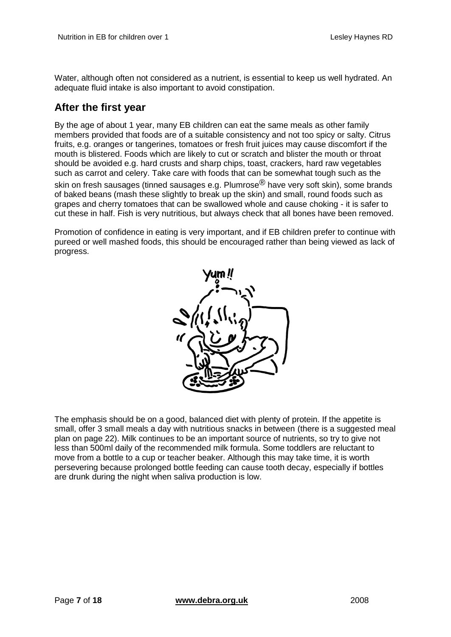Water, although often not considered as a nutrient, is essential to keep us well hydrated. An adequate fluid intake is also important to avoid constipation.

## <span id="page-6-0"></span>**After the first year**

By the age of about 1 year, many EB children can eat the same meals as other family members provided that foods are of a suitable consistency and not too spicy or salty. Citrus fruits, e.g. oranges or tangerines, tomatoes or fresh fruit juices may cause discomfort if the mouth is blistered. Foods which are likely to cut or scratch and blister the mouth or throat should be avoided e.g. hard crusts and sharp chips, toast, crackers, hard raw vegetables such as carrot and celery. Take care with foods that can be somewhat tough such as the skin on fresh sausages (tinned sausages e.g. Plumrose<sup>®</sup> have very soft skin), some brands of baked beans (mash these slightly to break up the skin) and small, round foods such as grapes and cherry tomatoes that can be swallowed whole and cause choking - it is safer to cut these in half. Fish is very nutritious, but always check that all bones have been removed.

Promotion of confidence in eating is very important, and if EB children prefer to continue with pureed or well mashed foods, this should be encouraged rather than being viewed as lack of progress.



The emphasis should be on a good, balanced diet with plenty of protein. If the appetite is small, offer 3 small meals a day with nutritious snacks in between (there is a suggested meal plan on page 22). Milk continues to be an important source of nutrients, so try to give not less than 500ml daily of the recommended milk formula. Some toddlers are reluctant to move from a bottle to a cup or teacher beaker. Although this may take time, it is worth persevering because prolonged bottle feeding can cause tooth decay, especially if bottles are drunk during the night when saliva production is low.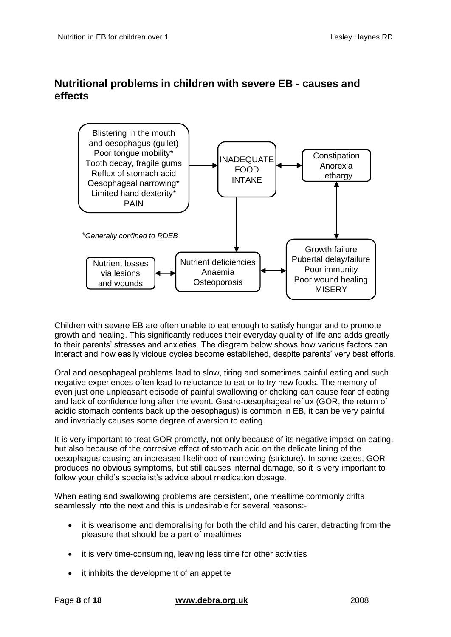# <span id="page-7-0"></span>**Nutritional problems in children with severe EB - causes and effects**



Children with severe EB are often unable to eat enough to satisfy hunger and to promote growth and healing. This significantly reduces their everyday quality of life and adds greatly to their parents' stresses and anxieties. The diagram below shows how various factors can interact and how easily vicious cycles become established, despite parents' very best efforts.

Oral and oesophageal problems lead to slow, tiring and sometimes painful eating and such negative experiences often lead to reluctance to eat or to try new foods. The memory of even just one unpleasant episode of painful swallowing or choking can cause fear of eating and lack of confidence long after the event. Gastro-oesophageal reflux (GOR, the return of acidic stomach contents back up the oesophagus) is common in EB, it can be very painful and invariably causes some degree of aversion to eating.

It is very important to treat GOR promptly, not only because of its negative impact on eating, but also because of the corrosive effect of stomach acid on the delicate lining of the oesophagus causing an increased likelihood of narrowing (stricture). In some cases, GOR produces no obvious symptoms, but still causes internal damage, so it is very important to follow your child's specialist's advice about medication dosage.

When eating and swallowing problems are persistent, one mealtime commonly drifts seamlessly into the next and this is undesirable for several reasons:-

- it is wearisome and demoralising for both the child and his carer, detracting from the pleasure that should be a part of mealtimes
- it is very time-consuming, leaving less time for other activities
- it inhibits the development of an appetite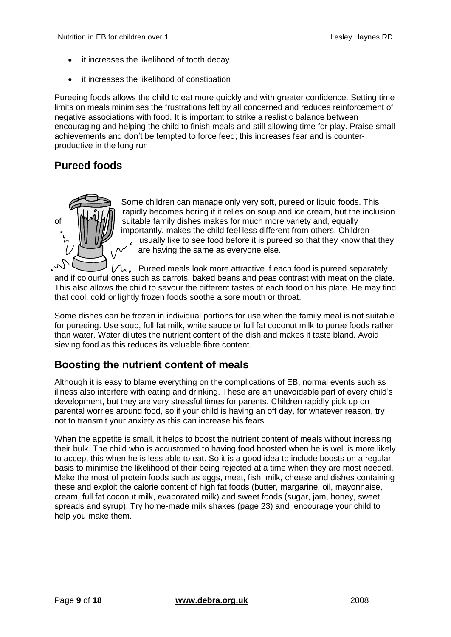- it increases the likelihood of tooth decay
- it increases the likelihood of constipation

Pureeing foods allows the child to eat more quickly and with greater confidence. Setting time limits on meals minimises the frustrations felt by all concerned and reduces reinforcement of negative associations with food. It is important to strike a realistic balance between encouraging and helping the child to finish meals and still allowing time for play. Praise small achievements and don't be tempted to force feed; this increases fear and is counterproductive in the long run.

# <span id="page-8-0"></span>**Pureed foods**



Some children can manage only very soft, pureed or liquid foods. This rapidly becomes boring if it relies on soup and ice cream, but the inclusion of **Suitable family dishes makes for much more variety and, equally** distribution importantly, makes the child feel less different from others. Children usually like to see food before it is pureed so that they know that they  $\overline{a}$ are having the same as everyone else.

 $\Lambda$ , Pureed meals look more attractive if each food is pureed separately and if colourful ones such as carrots, baked beans and peas contrast with meat on the plate. This also allows the child to savour the different tastes of each food on his plate. He may find that cool, cold or lightly frozen foods soothe a sore mouth or throat.

Some dishes can be frozen in individual portions for use when the family meal is not suitable for pureeing. Use soup, full fat milk, white sauce or full fat coconut milk to puree foods rather than water. Water dilutes the nutrient content of the dish and makes it taste bland. Avoid sieving food as this reduces its valuable fibre content.

# <span id="page-8-1"></span>**Boosting the nutrient content of meals**

Although it is easy to blame everything on the complications of EB, normal events such as illness also interfere with eating and drinking. These are an unavoidable part of every child's development, but they are very stressful times for parents. Children rapidly pick up on parental worries around food, so if your child is having an off day, for whatever reason, try not to transmit your anxiety as this can increase his fears.

When the appetite is small, it helps to boost the nutrient content of meals without increasing their bulk. The child who is accustomed to having food boosted when he is well is more likely to accept this when he is less able to eat. So it is a good idea to include boosts on a regular basis to minimise the likelihood of their being rejected at a time when they are most needed. Make the most of protein foods such as eggs, meat, fish, milk, cheese and dishes containing these and exploit the calorie content of high fat foods (butter, margarine, oil, mayonnaise, cream, full fat coconut milk, evaporated milk) and sweet foods (sugar, jam, honey, sweet spreads and syrup). Try home-made milk shakes (page 23) and encourage your child to help you make them.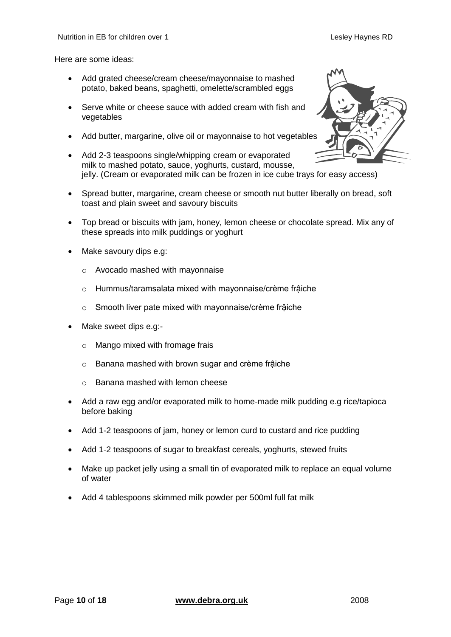Here are some ideas:

- Add grated cheese/cream cheese/mayonnaise to mashed potato, baked beans, spaghetti, omelette/scrambled eggs
- Serve white or cheese sauce with added cream with fish and vegetables
- Add butter, margarine, olive oil or mayonnaise to hot vegetables
- Add 2-3 teaspoons single/whipping cream or evaporated milk to mashed potato, sauce, yoghurts, custard, mousse, jelly. (Cream or evaporated milk can be frozen in ice cube trays for easy access)
- Spread butter, margarine, cream cheese or smooth nut butter liberally on bread, soft toast and plain sweet and savoury biscuits
- Top bread or biscuits with jam, honey, lemon cheese or chocolate spread. Mix any of these spreads into milk puddings or yoghurt
- Make savoury dips e.g:
	- o Avocado mashed with mayonnaise
	- o Hummus/taramsalata mixed with mayonnaise/crème frậiche
	- o Smooth liver pate mixed with mayonnaise/crème frậiche
- Make sweet dips e.g:
	- o Mango mixed with fromage frais
	- o Banana mashed with brown sugar and crème frậiche
	- o Banana mashed with lemon cheese
- Add a raw egg and/or evaporated milk to home-made milk pudding e.g rice/tapioca before baking
- Add 1-2 teaspoons of jam, honey or lemon curd to custard and rice pudding
- Add 1-2 teaspoons of sugar to breakfast cereals, yoghurts, stewed fruits
- Make up packet jelly using a small tin of evaporated milk to replace an equal volume of water
- Add 4 tablespoons skimmed milk powder per 500ml full fat milk

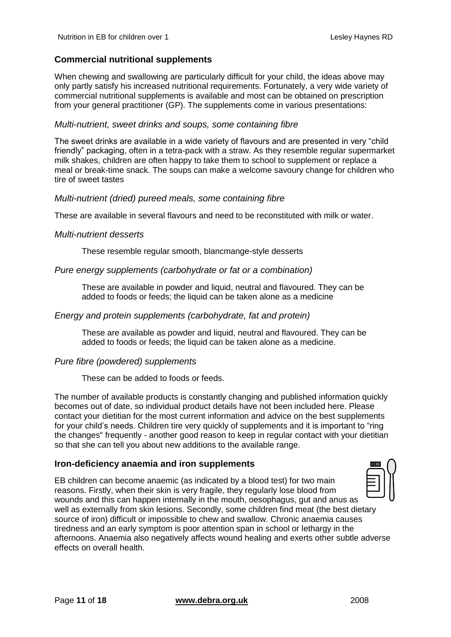### **Commercial nutritional supplements**

When chewing and swallowing are particularly difficult for your child, the ideas above may only partly satisfy his increased nutritional requirements. Fortunately, a very wide variety of commercial nutritional supplements is available and most can be obtained on prescription from your general practitioner (GP). The supplements come in various presentations:

#### *Multi-nutrient, sweet drinks and soups, some containing fibre*

The sweet drinks are available in a wide variety of flavours and are presented in very "child friendly" packaging, often in a tetra-pack with a straw. As they resemble regular supermarket milk shakes, children are often happy to take them to school to supplement or replace a meal or break-time snack. The soups can make a welcome savoury change for children who tire of sweet tastes

#### *Multi-nutrient (dried) pureed meals, some containing fibre*

These are available in several flavours and need to be reconstituted with milk or water.

#### *Multi-nutrient desserts*

These resemble regular smooth, blancmange-style desserts

#### *Pure energy supplements (carbohydrate or fat or a combination)*

These are available in powder and liquid, neutral and flavoured. They can be added to foods or feeds; the liquid can be taken alone as a medicine

#### *Energy and protein supplements (carbohydrate, fat and protein)*

These are available as powder and liquid, neutral and flavoured. They can be added to foods or feeds; the liquid can be taken alone as a medicine.

#### *Pure fibre (powdered) supplements*

These can be added to foods or feeds.

The number of available products is constantly changing and published information quickly becomes out of date, so individual product details have not been included here. Please contact your dietitian for the most current information and advice on the best supplements for your child's needs. Children tire very quickly of supplements and it is important to "ring the changes" frequently - another good reason to keep in regular contact with your dietitian so that she can tell you about new additions to the available range.

#### **Iron-deficiency anaemia and iron supplements**

EB children can become anaemic (as indicated by a blood test) for two main reasons. Firstly, when their skin is very fragile, they regularly lose blood from wounds and this can happen internally in the mouth, oesophagus, gut and anus as well as externally from skin lesions. Secondly, some children find meat (the best dietary source of iron) difficult or impossible to chew and swallow. Chronic anaemia causes tiredness and an early symptom is poor attention span in school or lethargy in the afternoons. Anaemia also negatively affects wound healing and exerts other subtle adverse effects on overall health.

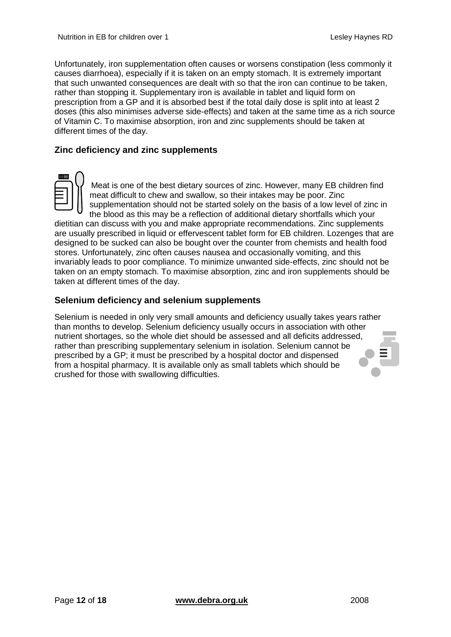Unfortunately, iron supplementation often causes or worsens constipation (less commonly it causes diarrhoea), especially if it is taken on an empty stomach. It is extremely important that such unwanted consequences are dealt with so that the iron can continue to be taken, rather than stopping it. Supplementary iron is available in tablet and liquid form on prescription from a GP and it is absorbed best if the total daily dose is split into at least 2 doses (this also minimises adverse side-effects) and taken at the same time as a rich source of Vitamin C. To maximise absorption, iron and zinc supplements should be taken at different times of the day.

#### **Zinc deficiency and zinc supplements**



Meat is one of the best dietary sources of zinc. However, many EB children find meat difficult to chew and swallow, so their intakes may be poor. Zinc supplementation should not be started solely on the basis of a low level of zinc in the blood as this may be a reflection of additional dietary shortfalls which your

dietitian can discuss with you and make appropriate recommendations. Zinc supplements are usually prescribed in liquid or effervescent tablet form for EB children. Lozenges that are designed to be sucked can also be bought over the counter from chemists and health food stores. Unfortunately, zinc often causes nausea and occasionally vomiting, and this invariably leads to poor compliance. To minimize unwanted side-effects, zinc should not be taken on an empty stomach. To maximise absorption, zinc and iron supplements should be taken at different times of the day.

#### **Selenium deficiency and selenium supplements**

Selenium is needed in only very small amounts and deficiency usually takes years rather than months to develop. Selenium deficiency usually occurs in association with other nutrient shortages, so the whole diet should be assessed and all deficits addressed, rather than prescribing supplementary selenium in isolation. Selenium cannot be prescribed by a GP; it must be prescribed by a hospital doctor and dispensed from a hospital pharmacy. It is available only as small tablets which should be crushed for those with swallowing difficulties.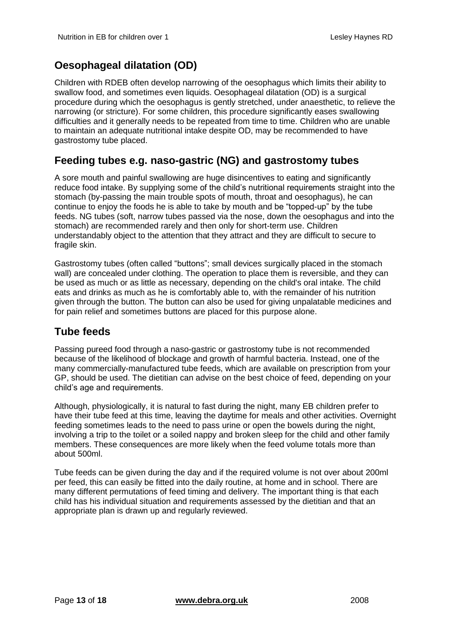# <span id="page-12-0"></span>**Oesophageal dilatation (OD)**

Children with RDEB often develop narrowing of the oesophagus which limits their ability to swallow food, and sometimes even liquids. Oesophageal dilatation (OD) is a surgical procedure during which the oesophagus is gently stretched, under anaesthetic, to relieve the narrowing (or stricture). For some children, this procedure significantly eases swallowing difficulties and it generally needs to be repeated from time to time. Children who are unable to maintain an adequate nutritional intake despite OD, may be recommended to have gastrostomy tube placed.

## <span id="page-12-1"></span>**Feeding tubes e.g. naso-gastric (NG) and gastrostomy tubes**

A sore mouth and painful swallowing are huge disincentives to eating and significantly reduce food intake. By supplying some of the child's nutritional requirements straight into the stomach (by-passing the main trouble spots of mouth, throat and oesophagus), he can continue to enjoy the foods he is able to take by mouth and be "topped-up" by the tube feeds. NG tubes (soft, narrow tubes passed via the nose, down the oesophagus and into the stomach) are recommended rarely and then only for short-term use. Children understandably object to the attention that they attract and they are difficult to secure to fragile skin.

Gastrostomy tubes (often called "buttons"; small devices surgically placed in the stomach wall) are concealed under clothing. The operation to place them is reversible, and they can be used as much or as little as necessary, depending on the child's oral intake. The child eats and drinks as much as he is comfortably able to, with the remainder of his nutrition given through the button. The button can also be used for giving unpalatable medicines and for pain relief and sometimes buttons are placed for this purpose alone.

### <span id="page-12-2"></span>**Tube feeds**

Passing pureed food through a naso-gastric or gastrostomy tube is not recommended because of the likelihood of blockage and growth of harmful bacteria. Instead, one of the many commercially-manufactured tube feeds, which are available on prescription from your GP, should be used. The dietitian can advise on the best choice of feed, depending on your child's age and requirements.

Although, physiologically, it is natural to fast during the night, many EB children prefer to have their tube feed at this time, leaving the daytime for meals and other activities. Overnight feeding sometimes leads to the need to pass urine or open the bowels during the night, involving a trip to the toilet or a soiled nappy and broken sleep for the child and other family members. These consequences are more likely when the feed volume totals more than about 500ml.

Tube feeds can be given during the day and if the required volume is not over about 200ml per feed, this can easily be fitted into the daily routine, at home and in school. There are many different permutations of feed timing and delivery. The important thing is that each child has his individual situation and requirements assessed by the dietitian and that an appropriate plan is drawn up and regularly reviewed.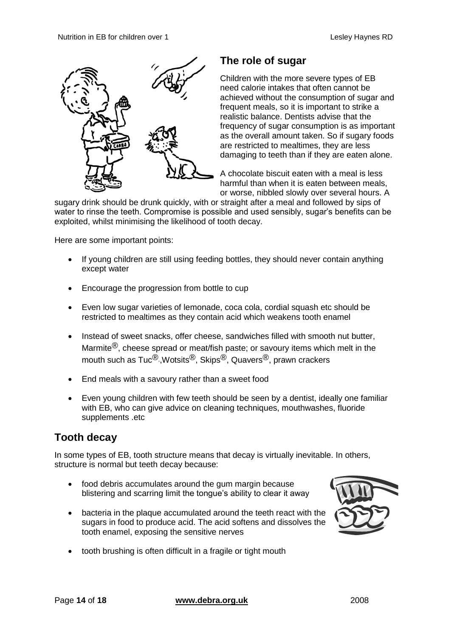

### <span id="page-13-0"></span>**The role of sugar**

Children with the more severe types of EB need calorie intakes that often cannot be achieved without the consumption of sugar and frequent meals, so it is important to strike a realistic balance. Dentists advise that the frequency of sugar consumption is as important as the overall amount taken. So if sugary foods are restricted to mealtimes, they are less damaging to teeth than if they are eaten alone.

A chocolate biscuit eaten with a meal is less harmful than when it is eaten between meals, or worse, nibbled slowly over several hours. A

sugary drink should be drunk quickly, with or straight after a meal and followed by sips of water to rinse the teeth. Compromise is possible and used sensibly, sugar's benefits can be exploited, whilst minimising the likelihood of tooth decay.

Here are some important points:

- If young children are still using feeding bottles, they should never contain anything except water
- Encourage the progression from bottle to cup
- Even low sugar varieties of lemonade, coca cola, cordial squash etc should be restricted to mealtimes as they contain acid which weakens tooth enamel
- Instead of sweet snacks, offer cheese, sandwiches filled with smooth nut butter, Marmite<sup>®</sup>, cheese spread or meat/fish paste; or savoury items which melt in the mouth such as Tuc<sup>®</sup>, Wotsits<sup>®</sup>, Skips<sup>®</sup>, Quavers<sup>®</sup>, prawn crackers
- End meals with a savoury rather than a sweet food
- Even young children with few teeth should be seen by a dentist, ideally one familiar with EB, who can give advice on cleaning techniques, mouthwashes, fluoride supplements .etc

## <span id="page-13-1"></span>**Tooth decay**

In some types of EB, tooth structure means that decay is virtually inevitable. In others, structure is normal but teeth decay because:

- food debris accumulates around the gum margin because blistering and scarring limit the tongue's ability to clear it away
- bacteria in the plaque accumulated around the teeth react with the sugars in food to produce acid. The acid softens and dissolves the tooth enamel, exposing the sensitive nerves



tooth brushing is often difficult in a fragile or tight mouth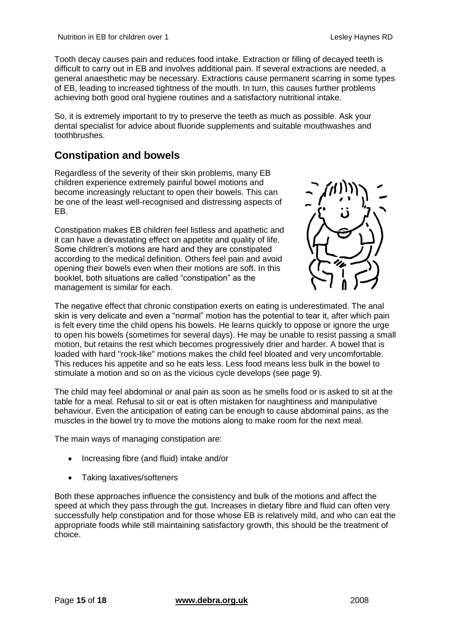Tooth decay causes pain and reduces food intake. Extraction or filling of decayed teeth is difficult to carry out in EB and involves additional pain. If several extractions are needed, a general anaesthetic may be necessary. Extractions cause permanent scarring in some types of EB, leading to increased tightness of the mouth. In turn, this causes further problems achieving both good oral hygiene routines and a satisfactory nutritional intake.

So, it is extremely important to try to preserve the teeth as much as possible. Ask your dental specialist for advice about fluoride supplements and suitable mouthwashes and toothbrushes.

# <span id="page-14-0"></span>**Constipation and bowels**

Regardless of the severity of their skin problems, many EB children experience extremely painful bowel motions and become increasingly reluctant to open their bowels. This can be one of the least well-recognised and distressing aspects of EB.

Constipation makes EB children feel listless and apathetic and it can have a devastating effect on appetite and quality of life. Some children's motions are hard and they are constipated according to the medical definition. Others feel pain and avoid opening their bowels even when their motions are soft. In this booklet, both situations are called "constipation" as the management is similar for each.



The negative effect that chronic constipation exerts on eating is underestimated. The anal skin is very delicate and even a "normal" motion has the potential to tear it, after which pain is felt every time the child opens his bowels. He learns quickly to oppose or ignore the urge to open his bowels (sometimes for several days). He may be unable to resist passing a small motion, but retains the rest which becomes progressively drier and harder. A bowel that is loaded with hard "rock-like" motions makes the child feel bloated and very uncomfortable. This reduces his appetite and so he eats less. Less food means less bulk in the bowel to stimulate a motion and so on as the vicious cycle develops (see page 9).

The child may feel abdominal or anal pain as soon as he smells food or is asked to sit at the table for a meal. Refusal to sit or eat is often mistaken for naughtiness and manipulative behaviour. Even the anticipation of eating can be enough to cause abdominal pains, as the muscles in the bowel try to move the motions along to make room for the next meal.

The main ways of managing constipation are:

- Increasing fibre (and fluid) intake and/or
- Taking laxatives/softeners

Both these approaches influence the consistency and bulk of the motions and affect the speed at which they pass through the gut. Increases in dietary fibre and fluid can often very successfully help constipation and for those whose EB is relatively mild, and who can eat the appropriate foods while still maintaining satisfactory growth, this should be the treatment of choice.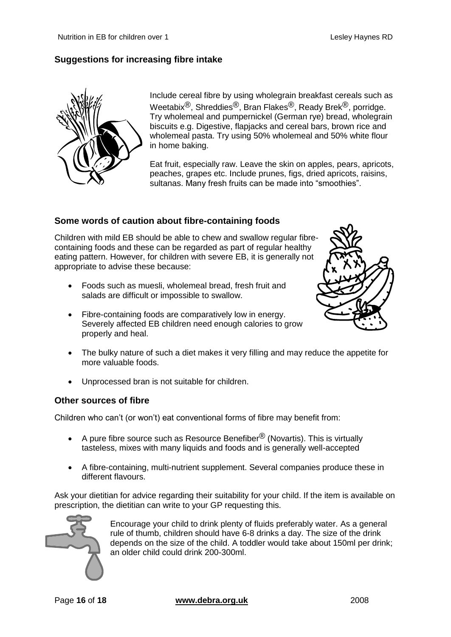### **Suggestions for increasing fibre intake**



Include cereal fibre by using wholegrain breakfast cereals such as Weetabix®, Shreddies®, Bran Flakes®, Ready Brek®, porridge. Try wholemeal and pumpernickel (German rye) bread, wholegrain biscuits e.g. Digestive, flapjacks and cereal bars, brown rice and wholemeal pasta. Try using 50% wholemeal and 50% white flour in home baking.

Eat fruit, especially raw. Leave the skin on apples, pears, apricots, peaches, grapes etc. Include prunes, figs, dried apricots, raisins, sultanas. Many fresh fruits can be made into "smoothies".

#### **Some words of caution about fibre-containing foods**

Children with mild EB should be able to chew and swallow regular fibrecontaining foods and these can be regarded as part of regular healthy eating pattern. However, for children with severe EB, it is generally not appropriate to advise these because:

- Foods such as muesli, wholemeal bread, fresh fruit and salads are difficult or impossible to swallow.
- Fibre-containing foods are comparatively low in energy. Severely affected EB children need enough calories to grow properly and heal.



- The bulky nature of such a diet makes it very filling and may reduce the appetite for more valuable foods.
- Unprocessed bran is not suitable for children.

#### **Other sources of fibre**

Children who can't (or won't) eat conventional forms of fibre may benefit from:

- A pure fibre source such as Resource Benefiber<sup>®</sup> (Novartis). This is virtually tasteless, mixes with many liquids and foods and is generally well-accepted
- A fibre-containing, multi-nutrient supplement. Several companies produce these in different flavours.

Ask your dietitian for advice regarding their suitability for your child. If the item is available on prescription, the dietitian can write to your GP requesting this.



Encourage your child to drink plenty of fluids preferably water. As a general rule of thumb, children should have 6-8 drinks a day. The size of the drink depends on the size of the child. A toddler would take about 150ml per drink; an older child could drink 200-300ml.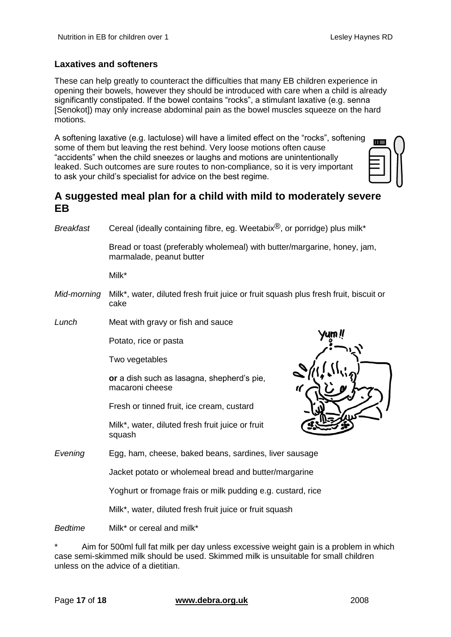#### **Laxatives and softeners**

These can help greatly to counteract the difficulties that many EB children experience in opening their bowels, however they should be introduced with care when a child is already significantly constipated. If the bowel contains "rocks", a stimulant laxative (e.g. senna [Senokot]) may only increase abdominal pain as the bowel muscles squeeze on the hard motions.

A softening laxative (e.g. lactulose) will have a limited effect on the "rocks", softening some of them but leaving the rest behind. Very loose motions often cause "accidents" when the child sneezes or laughs and motions are unintentionally leaked. Such outcomes are sure routes to non-compliance, so it is very important to ask your child's specialist for advice on the best regime.

### <span id="page-16-0"></span>**A suggested meal plan for a child with mild to moderately severe EB**

*Breakfast* Cereal (ideally containing fibre, eg. Weetabix®, or porridge) plus milk\*

Bread or toast (preferably wholemeal) with butter/margarine, honey, jam, marmalade, peanut butter

Milk\*

- *Mid-morning* Milk\*, water, diluted fresh fruit juice or fruit squash plus fresh fruit, biscuit or cake
- *Lunch* Meat with gravy or fish and sauce

Potato, rice or pasta

Two vegetables

**or** a dish such as lasagna, shepherd's pie, macaroni cheese

Fresh or tinned fruit, ice cream, custard

Milk\*, water, diluted fresh fruit juice or fruit squash



*Evening* Egg, ham, cheese, baked beans, sardines, liver sausage

Jacket potato or wholemeal bread and butter/margarine

Yoghurt or fromage frais or milk pudding e.g. custard, rice

Milk\*, water, diluted fresh fruit juice or fruit squash

*Bedtime* Milk\* or cereal and milk\*

Aim for 500ml full fat milk per day unless excessive weight gain is a problem in which case semi-skimmed milk should be used. Skimmed milk is unsuitable for small children unless on the advice of a dietitian.